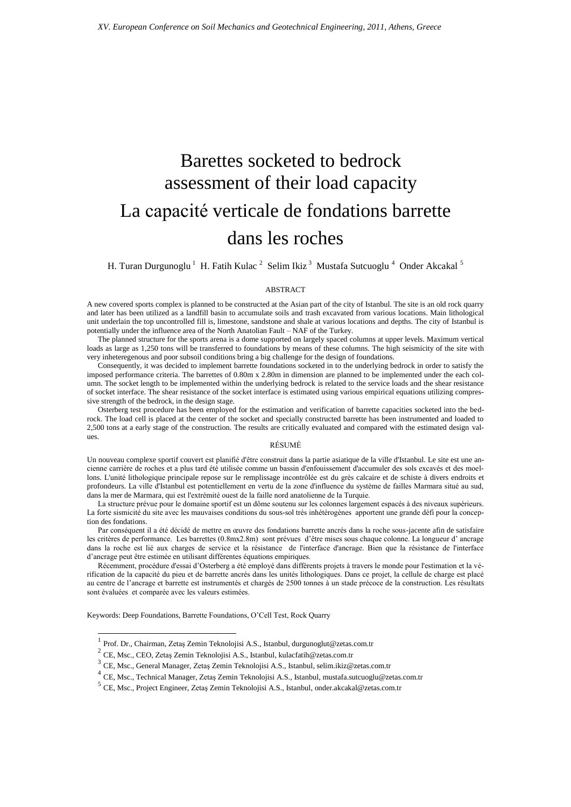# Barettes socketed to bedrock assessment of their load capacity La capacité verticale de fondations barrette dans les roches

H. Turan Durgunoglu  $^1\,$  H. Fatih Kulac  $^2\,$  Selim Ikiz  $^3\,$  Mustafa Sutcuoglu  $^4\,$  Onder Akcakal  $^5\,$ 

#### ABSTRACT

A new covered sports complex is planned to be constructed at the Asian part of the city of Istanbul. The site is an old rock quarry and later has been utilized as a landfill basin to accumulate soils and trash excavated from various locations. Main lithological unit underlain the top uncontrolled fill is, limestone, sandstone and shale at various locations and depths. The city of Istanbul is potentially under the influence area of the North Anatolian Fault – NAF of the Turkey.

The planned structure for the sports arena is a dome supported on largely spaced columns at upper levels. Maximum vertical loads as large as 1,250 tons will be transferred to foundations by means of these columns. The high seismicity of the site with very inheteregenous and poor subsoil conditions bring a big challenge for the design of foundations.

Consequently, it was decided to implement barrette foundations socketed in to the underlying bedrock in order to satisfy the imposed performance criteria. The barrettes of 0.80m x 2.80m in dimension are planned to be implemented under the each column. The socket length to be implemented within the underlying bedrock is related to the service loads and the shear resistance of socket interface. The shear resistance of the socket interface is estimated using various empirical equations utilizing compressive strength of the bedrock, in the design stage.

Osterberg test procedure has been employed for the estimation and verification of barrette capacities socketed into the bedrock. The load cell is placed at the center of the socket and specially constructed barrette has been instrumented and loaded to 2,500 tons at a early stage of the construction. The results are critically evaluated and compared with the estimated design values.

#### RÉSUMÉ

Un nouveau complexe sportif couvert est planifié d'être construit dans la partie asiatique de la ville d'Istanbul. Le site est une ancienne carrière de roches et a plus tard été utilisée comme un bassin d'enfouissement d'accumuler des sols excavés et des moellons. L'unité lithologique principale repose sur le remplissage incontrôlée est du grès calcaire et de schiste à divers endroits et profondeurs. La ville d'Istanbul est potentiellement en vertu de la zone d'influence du système de failles Marmara situé au sud, dans la mer de Marmara, qui est l'extrémité ouest de la faille nord anatolienne de la Turquie.

La structure prévue pour le domaine sportif est un dôme soutenu sur les colonnes largement espacés à des niveaux supérieurs. La forte sismicité du site avec les mauvaises conditions du sous-sol très inhétérogènes apportent une grande défi pour la conception des fondations.

Par conséquent il a été décidé de mettre en œuvre des fondations barrette ancrés dans la roche sous-jacente afin de satisfaire les critères de performance. Les barrettes (0.8mx2.8m) sont prévues d'être mises sous chaque colonne. La longueur d' ancrage dans la roche est lié aux charges de service et la résistance de l'interface d'ancrage. Bien que la résistance de l'interface d'ancrage peut être estimée en utilisant différentes équations empiriques.

Récemment, procédure d'essai d'Osterberg a été employé dans différents projets à travers le monde pour l'estimation et la vérification de la capacité du pieu et de barrette ancrés dans les unités lithologiques. Dans ce projet, la cellule de charge est placé au centre de l'ancrage et barrette est instrumentés et chargés de 2500 tonnes à un stade précoce de la construction. Les résultats sont évaluées et comparée avec les valeurs estimées.

Keywords: Deep Foundations, Barrette Foundations, O'Cell Test, Rock Quarry

 $\overline{\phantom{a}}$ 

<sup>1</sup> Prof. Dr., Chairman, Zetaş Zemin Teknolojisi A.S., Istanbul, durgunoglut@zetas.com.tr

 $^{2}$  CE, Msc., CEO, Zetaş Zemin Teknolojisi A.S., Istanbul, kulacfatih@zetas.com.tr

<sup>&</sup>lt;sup>3</sup> CE, Msc., General Manager, Zetaş Zemin Teknolojisi A.S., Istanbul, selim.ikiz@zetas.com.tr

<sup>&</sup>lt;sup>4</sup> CE, Msc., Technical Manager, Zetaş Zemin Teknolojisi A.S., Istanbul, mustafa.sutcuoglu@zetas.com.tr

<sup>&</sup>lt;sup>5</sup> CE, Msc., Project Engineer, Zetaş Zemin Teknolojisi A.S., Istanbul, onder.akcakal@zetas.com.tr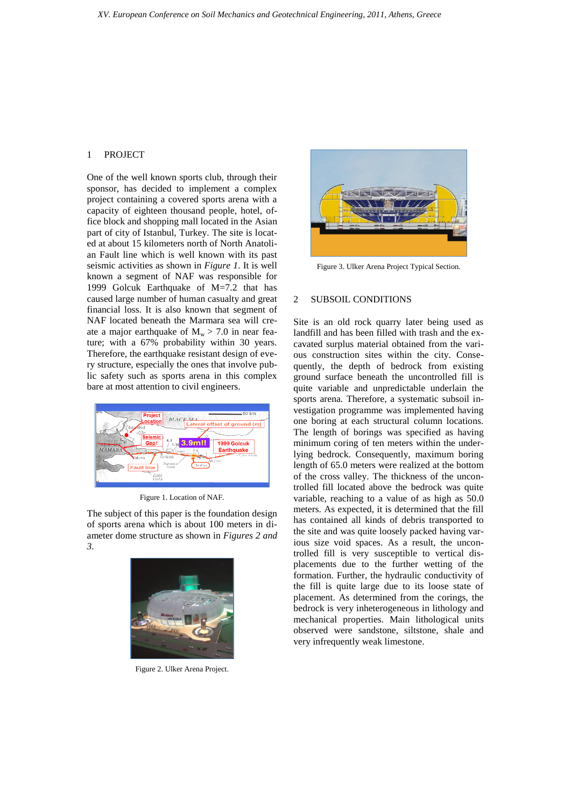## 1 PROJECT

One of the well known sports club, through their sponsor, has decided to implement a complex project containing a covered sports arena with a capacity of eighteen thousand people, hotel, office block and shopping mall located in the Asian part of city of Istanbul, Turkey. The site is located at about 15 kilometers north of North Anatolian Fault line which is well known with its past seismic activities as shown in *Figure 1*. It is well known a segment of NAF was responsible for 1999 Golcuk Earthquake of M=7.2 that has caused large number of human casualty and great financial loss. It is also known that segment of NAF located beneath the Marmara sea will create a major earthquake of  $M_w > 7.0$  in near feature; with a 67% probability within 30 years. Therefore, the earthquake resistant design of every structure, especially the ones that involve public safety such as sports arena in this complex bare at most attention to civil engineers.



Figure 1. Location of NAF.

The subject of this paper is the foundation design of sports arena which is about 100 meters in diameter dome structure as shown in *Figures 2 and 3.*



Figure 2. Ulker Arena Project.



Figure 3. Ulker Arena Project Typical Section.

### 2 SUBSOIL CONDITIONS

Site is an old rock quarry later being used as landfill and has been filled with trash and the excavated surplus material obtained from the various construction sites within the city. Consequently, the depth of bedrock from existing ground surface beneath the uncontrolled fill is quite variable and unpredictable underlain the sports arena. Therefore, a systematic subsoil investigation programme was implemented having one boring at each structural column locations. The length of borings was specified as having minimum coring of ten meters within the underlying bedrock. Consequently, maximum boring length of 65.0 meters were realized at the bottom of the cross valley. The thickness of the uncontrolled fill located above the bedrock was quite variable, reaching to a value of as high as 50.0 meters. As expected, it is determined that the fill has contained all kinds of debris transported to the site and was quite loosely packed having various size void spaces. As a result, the uncontrolled fill is very susceptible to vertical displacements due to the further wetting of the formation. Further, the hydraulic conductivity of the fill is quite large due to its loose state of placement. As determined from the corings, the bedrock is very inheterogeneous in lithology and mechanical properties. Main lithological units observed were sandstone, siltstone, shale and very infrequently weak limestone.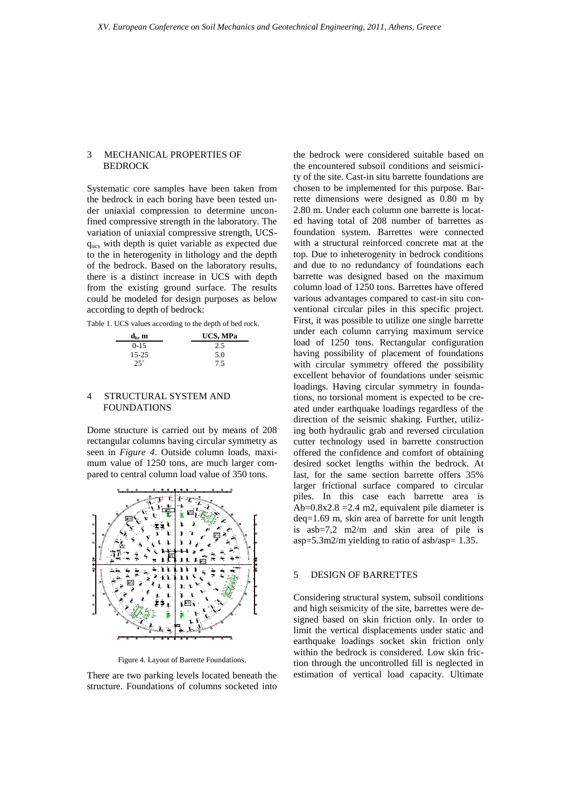## 3 MECHANICAL PROPERTIES OF **BEDROCK**

Systematic core samples have been taken from the bedrock in each boring have been tested under uniaxial compression to determine unconfined compressive strength in the laboratory. The variation of uniaxial compressive strength, UCSqucs with depth is quiet variable as expected due to the in heterogenity in lithology and the depth of the bedrock. Based on the laboratory results, there is a distinct increase in UCS with depth from the existing ground surface. The results could be modeled for design purposes as below according to depth of bedrock:

Table 1. UCS values according to the depth of bed rock.

| $\mathbf{d}_{\mathrm{b}}, \mathbf{m}$ | UCS, MPa |  |  |
|---------------------------------------|----------|--|--|
| $0 - 15$                              | 2.5      |  |  |
| $15 - 25$                             | 5.0      |  |  |
| $25^{+}$                              | 7.5      |  |  |

## 4 STRUCTURAL SYSTEM AND FOUNDATIONS

Dome structure is carried out by means of 208 rectangular columns having circular symmetry as seen in *Figure 4*. Outside column loads, maximum value of 1250 tons, are much larger compared to central column load value of 350 tons.



Figure 4. Layout of Barrette Foundations.

There are two parking levels located beneath the structure. Foundations of columns socketed into

the bedrock were considered suitable based on the encountered subsoil conditions and seismicity of the site. Cast-in situ barrette foundations are chosen to be implemented for this purpose. Barrette dimensions were designed as 0.80 m by 2.80 m. Under each column one barrette is located having total of 208 number of barrettes as foundation system. Barrettes were connected with a structural reinforced concrete mat at the top. Due to inheterogenity in bedrock conditions and due to no redundancy of foundations each barrette was designed based on the maximum column load of 1250 tons. Barrettes have offered various advantages compared to cast-in situ conventional circular piles in this specific project. First, it was possible to utilize one single barrette under each column carrying maximum service load of 1250 tons. Rectangular configuration having possibility of placement of foundations with circular symmetry offered the possibility excellent behavior of foundations under seismic loadings. Having circular symmetry in foundations, no torsional moment is expected to be created under earthquake loadings regardless of the direction of the seismic shaking. Further, utilizing both hydraulic grab and reversed circulation cutter technology used in barrette construction offered the confidence and comfort of obtaining desired socket lengths within the bedrock. At last, for the same section barrette offers 35% larger frictional surface compared to circular piles. In this case each barrette area is Ab= $0.8x2.8$  = $2.4$  m2, equivalent pile diameter is deq=1.69 m, skin area of barrette for unit length is asb=7,2 m2/m and skin area of pile is asp= $5.3$ m2/m yielding to ratio of asb/asp= 1.35.

# 5 DESIGN OF BARRETTES

Considering structural system, subsoil conditions and high seismicity of the site, barrettes were designed based on skin friction only. In order to limit the vertical displacements under static and earthquake loadings socket skin friction only within the bedrock is considered. Low skin friction through the uncontrolled fill is neglected in estimation of vertical load capacity. Ultimate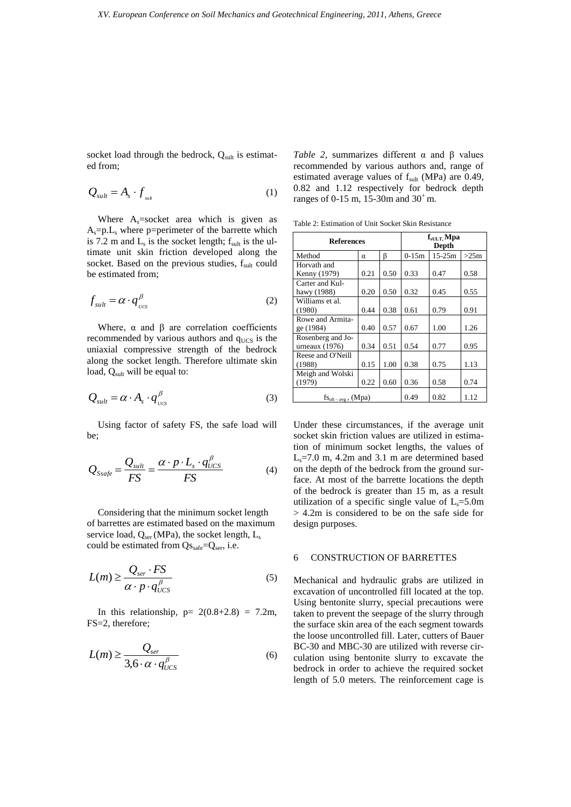socket load through the bedrock,  $Q_{\text{sult}}$  is estimated from;

$$
Q_{sult} = A_s \cdot f_{sult} \tag{1}
$$

Where  $A_s$ =socket area which is given as  $A_s=p.L_s$  where p=perimeter of the barrette which is 7.2 m and  $L_s$  is the socket length;  $f_{\text{sult}}$  is the ultimate unit skin friction developed along the socket. Based on the previous studies, fsult could be estimated from;

$$
f_{sult} = \alpha \cdot q_{\nu \alpha}^{\beta} \tag{2}
$$

Where,  $\alpha$  and  $\beta$  are correlation coefficients recommended by various authors and  $q_{\text{UCS}}$  is the uniaxial compressive strength of the bedrock along the socket length. Therefore ultimate skin load, Qsult will be equal to:

$$
Q_{sult} = \alpha \cdot A_s \cdot q_{\nu s}^{\beta} \tag{3}
$$

Using factor of safety FS, the safe load will be;

$$
Q_{Ssafe} = \frac{Q_{sult}}{FS} = \frac{\alpha \cdot p \cdot L_s \cdot q_{UCS}^{\beta}}{FS}
$$
(4)

Considering that the minimum socket length of barrettes are estimated based on the maximum service load,  $Q_{ser}$  (MPa), the socket length,  $L_s$ could be estimated from  $Qs_{\text{safe}}=Q_{\text{ser}}$ , i.e.

$$
L(m) \ge \frac{Q_{ser} \cdot FS}{\alpha \cdot p \cdot q_{\text{UCS}}^{\beta}} \tag{5}
$$

In this relationship,  $p= 2(0.8+2.8) = 7.2m$ , FS=2, therefore;

$$
L(m) \ge \frac{Q_{ser}}{3.6 \cdot \alpha \cdot q_{UCS}^{\beta}}
$$
 (6)

*Table 2*, summarizes different  $\alpha$  and  $\beta$  values recommended by various authors and, range of estimated average values of  $f<sub>sult</sub>$  (MPa) are 0.49, 0.82 and 1.12 respectively for bedrock depth ranges of 0-15 m, 15-30m and  $30^{\circ}$  m.

Table 2: Estimation of Unit Socket Skin Resistance

| <b>References</b>                     |      | $fsULT$ Mpa<br>Depth |         |            |      |
|---------------------------------------|------|----------------------|---------|------------|------|
| Method                                | α    | β                    | $0-15m$ | $15 - 25m$ | >25m |
| Horvath and                           |      |                      |         |            |      |
| Kenny (1979)                          | 0.21 | 0.50                 | 0.33    | 0.47       | 0.58 |
| Carter and Kul-                       |      |                      |         |            |      |
| hawy (1988)                           | 0.20 | 0.50                 | 0.32    | 0.45       | 0.55 |
| Williams et al.                       |      |                      |         |            |      |
| (1980)                                | 0.44 | 0.38                 | 0.61    | 0.79       | 0.91 |
| Rowe and Armita-                      |      |                      |         |            |      |
| ge (1984)                             | 0.40 | 0.57                 | 0.67    | 1.00       | 1.26 |
| Rosenberg and Jo-<br>urneaux $(1976)$ | 0.34 | 0.51                 | 0.54    | 0.77       | 0.95 |
| Reese and O'Neill                     |      |                      |         |            |      |
| (1988)                                | 0.15 | 1.00                 | 0.38    | 0.75       | 1.13 |
| Meigh and Wolski                      |      |                      |         |            |      |
| (1979)                                | 0.22 | 0.60                 | 0.36    | 0.58       | 0.74 |
| $fs_{ult-avg}$ , (Mpa)                |      | 0.49                 | 0.82    | 1.12       |      |

Under these circumstances, if the average unit socket skin friction values are utilized in estimation of minimum socket lengths, the values of  $L_s$ =7.0 m, 4.2m and 3.1 m are determined based on the depth of the bedrock from the ground surface. At most of the barrette locations the depth of the bedrock is greater than 15 m, as a result utilization of a specific single value of  $L_s = 5.0$ m > 4.2m is considered to be on the safe side for design purposes.

#### 6 CONSTRUCTION OF BARRETTES

Mechanical and hydraulic grabs are utilized in excavation of uncontrolled fill located at the top. Using bentonite slurry, special precautions were taken to prevent the seepage of the slurry through the surface skin area of the each segment towards the loose uncontrolled fill. Later, cutters of Bauer BC-30 and MBC-30 are utilized with reverse circulation using bentonite slurry to excavate the bedrock in order to achieve the required socket length of 5.0 meters. The reinforcement cage is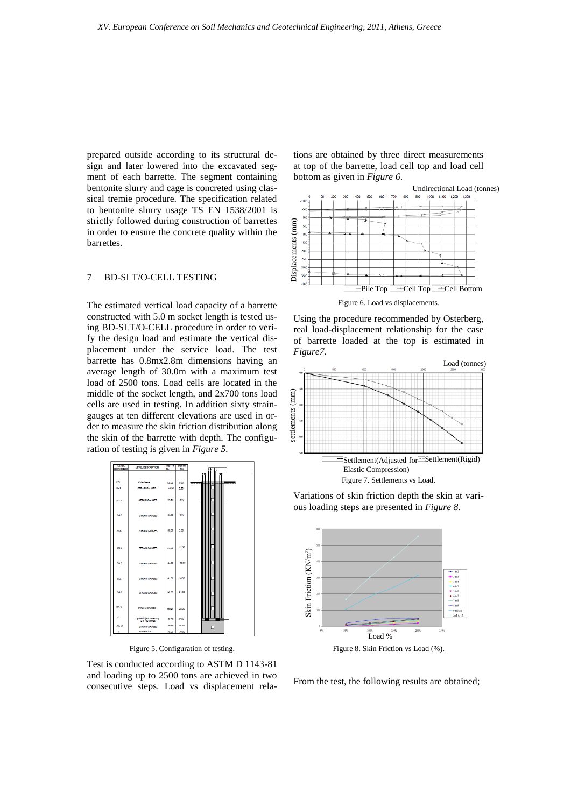prepared outside according to its structural design and later lowered into the excavated segment of each barrette. The segment containing bentonite slurry and cage is concreted using classical tremie procedure. The specification related to bentonite slurry usage TS EN 1538/2001 is strictly followed during construction of barrettes in order to ensure the concrete quality within the barrettes.

## 7 BD-SLT/O-CELL TESTING

The estimated vertical load capacity of a barrette constructed with 5.0 m socket length is tested using BD-SLT/O-CELL procedure in order to verify the design load and estimate the vertical displacement under the service load. The test barrette has 0.8mx2.8m dimensions having an average length of 30.0m with a maximum test load of 2500 tons. Load cells are located in the middle of the socket length, and 2x700 tons load cells are used in testing. In addition sixty straingauges at ten different elevations are used in order to measure the skin friction distribution along the skin of the barrette with depth. The configuration of testing is given in *Figure 5.*



Figure 5. Configuration of testing.

Test is conducted according to ASTM D 1143-81 and loading up to 2500 tons are achieved in two consecutive steps. Load vs displacement relations are obtained by three direct measurements at top of the barrette, load cell top and load cell bottom as given in *Figure 6*.



Using the procedure recommended by Osterberg, real load-displacement relationship for the case of barrette loaded at the top is estimated in



Variations of skin friction depth the skin at various loading steps are presented in *Figure 8*.



Figure 8. Skin Friction vs Load (%).